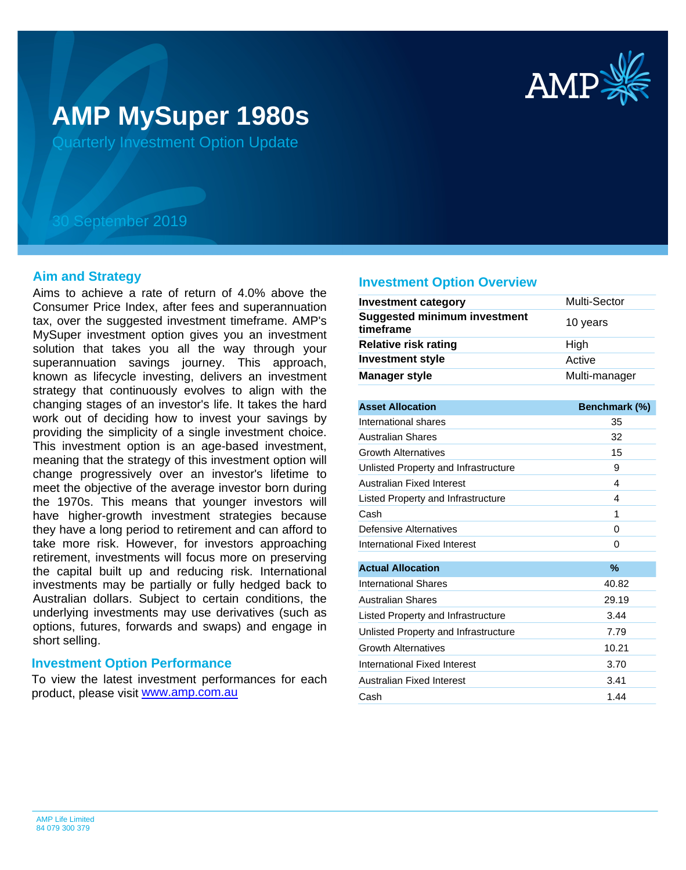

# **AMP MySuper 1980s**

Quarterly Investment Option Update

## 30 September 2019

## **Aim and Strategy**

Aims to achieve a rate of return of 4.0% above the Consumer Price Index, after fees and superannuation tax, over the suggested investment timeframe. AMP's MySuper investment option gives you an investment solution that takes you all the way through your superannuation savings journey. This approach, known as lifecycle investing, delivers an investment strategy that continuously evolves to align with the changing stages of an investor's life. It takes the hard work out of deciding how to invest your savings by providing the simplicity of a single investment choice. This investment option is an age-based investment, meaning that the strategy of this investment option will change progressively over an investor's lifetime to meet the objective of the average investor born during the 1970s. This means that younger investors will have higher-growth investment strategies because they have a long period to retirement and can afford to take more risk. However, for investors approaching retirement, investments will focus more on preserving the capital built up and reducing risk. International investments may be partially or fully hedged back to Australian dollars. Subject to certain conditions, the underlying investments may use derivatives (such as options, futures, forwards and swaps) and engage in short selling.

## **Investment Option Performance**

product, please visit **[www.amp.com.au](https://www.amp.com.au)** To view the latest investment performances for each

### **Investment Option Overview**

| <b>Investment category</b>                       | Multi-Sector  |
|--------------------------------------------------|---------------|
| <b>Suggested minimum investment</b><br>timeframe | 10 years      |
| <b>Relative risk rating</b>                      | High          |
| <b>Investment style</b>                          | Active        |
| <b>Manager style</b>                             | Multi-manager |
|                                                  |               |

| <b>Asset Allocation</b>              | Benchmark (%) |
|--------------------------------------|---------------|
| International shares                 | 35            |
| <b>Australian Shares</b>             | 32            |
| <b>Growth Alternatives</b>           | 15            |
| Unlisted Property and Infrastructure | 9             |
| Australian Fixed Interest            | 4             |
| Listed Property and Infrastructure   | 4             |
| Cash                                 | 1             |
| Defensive Alternatives               | 0             |
| International Fixed Interest         | 0             |
| <b>Actual Allocation</b>             | %             |
| <b>International Shares</b>          | 40.82         |
| <b>Australian Shares</b>             | 29.19         |
| Listed Property and Infrastructure   | 3.44          |
| Unlisted Property and Infrastructure | 7.79          |
| <b>Growth Alternatives</b>           | 10.21         |
| International Fixed Interest         | 3.70          |
| Australian Fixed Interest            | 3.41          |
| Cash                                 | 1.44          |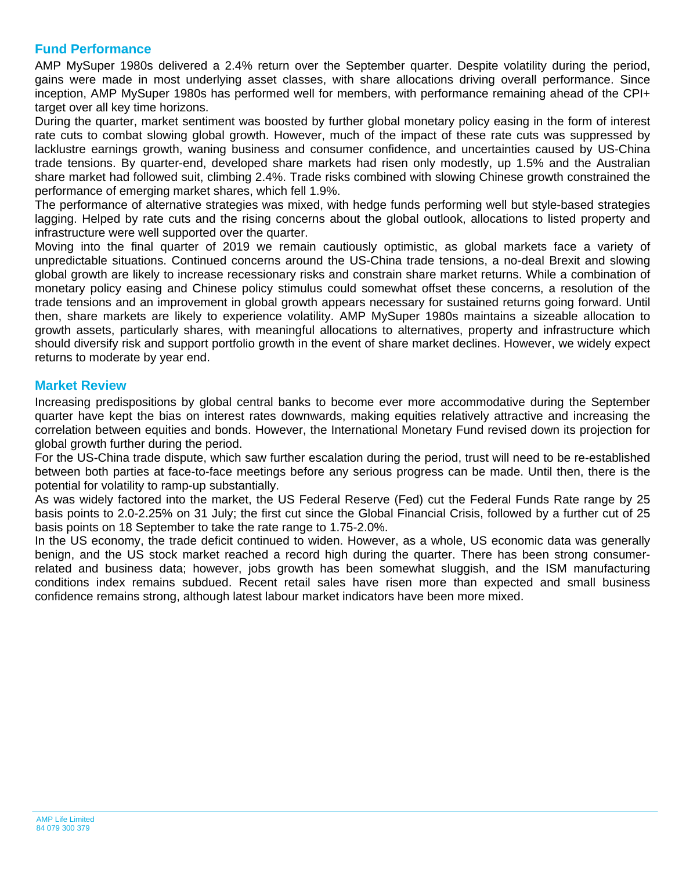## **Fund Performance**

AMP MySuper 1980s delivered a 2.4% return over the September quarter. Despite volatility during the period, gains were made in most underlying asset classes, with share allocations driving overall performance. Since inception, AMP MySuper 1980s has performed well for members, with performance remaining ahead of the CPI+ target over all key time horizons.

During the quarter, market sentiment was boosted by further global monetary policy easing in the form of interest rate cuts to combat slowing global growth. However, much of the impact of these rate cuts was suppressed by lacklustre earnings growth, waning business and consumer confidence, and uncertainties caused by US-China trade tensions. By quarter-end, developed share markets had risen only modestly, up 1.5% and the Australian share market had followed suit, climbing 2.4%. Trade risks combined with slowing Chinese growth constrained the performance of emerging market shares, which fell 1.9%.

The performance of alternative strategies was mixed, with hedge funds performing well but style-based strategies lagging. Helped by rate cuts and the rising concerns about the global outlook, allocations to listed property and infrastructure were well supported over the quarter.

Moving into the final quarter of 2019 we remain cautiously optimistic, as global markets face a variety of unpredictable situations. Continued concerns around the US-China trade tensions, a no-deal Brexit and slowing global growth are likely to increase recessionary risks and constrain share market returns. While a combination of monetary policy easing and Chinese policy stimulus could somewhat offset these concerns, a resolution of the trade tensions and an improvement in global growth appears necessary for sustained returns going forward. Until then, share markets are likely to experience volatility. AMP MySuper 1980s maintains a sizeable allocation to growth assets, particularly shares, with meaningful allocations to alternatives, property and infrastructure which should diversify risk and support portfolio growth in the event of share market declines. However, we widely expect returns to moderate by year end.

## **Market Review**

Increasing predispositions by global central banks to become ever more accommodative during the September quarter have kept the bias on interest rates downwards, making equities relatively attractive and increasing the correlation between equities and bonds. However, the International Monetary Fund revised down its projection for global growth further during the period.

For the US-China trade dispute, which saw further escalation during the period, trust will need to be re-established between both parties at face-to-face meetings before any serious progress can be made. Until then, there is the potential for volatility to ramp-up substantially.

As was widely factored into the market, the US Federal Reserve (Fed) cut the Federal Funds Rate range by 25 basis points to 2.0-2.25% on 31 July; the first cut since the Global Financial Crisis, followed by a further cut of 25 basis points on 18 September to take the rate range to 1.75-2.0%.

In the US economy, the trade deficit continued to widen. However, as a whole, US economic data was generally benign, and the US stock market reached a record high during the quarter. There has been strong consumerrelated and business data; however, jobs growth has been somewhat sluggish, and the ISM manufacturing conditions index remains subdued. Recent retail sales have risen more than expected and small business confidence remains strong, although latest labour market indicators have been more mixed.